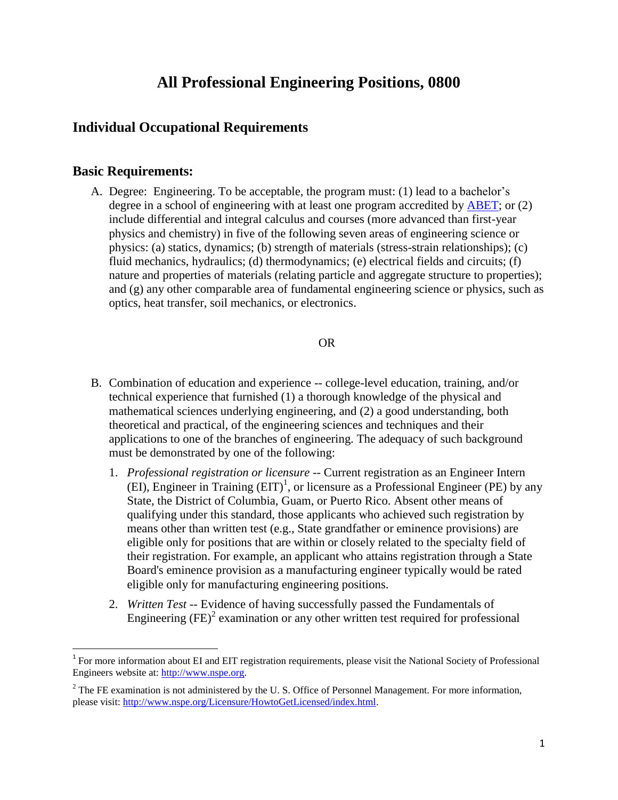# **All Professional Engineering Positions, 0800**

## **Individual Occupational Requirements**

### **Basic Requirements:**

 $\overline{\phantom{a}}$ 

A. Degree: Engineering. To be acceptable, the program must: (1) lead to a bachelor's degree in a school of engineering with at least one program accredited by [ABET;](http://www.abet.org/) or (2) include differential and integral calculus and courses (more advanced than first-year physics and chemistry) in five of the following seven areas of engineering science or physics: (a) statics, dynamics; (b) strength of materials (stress-strain relationships); (c) fluid mechanics, hydraulics; (d) thermodynamics; (e) electrical fields and circuits; (f) nature and properties of materials (relating particle and aggregate structure to properties); and (g) any other comparable area of fundamental engineering science or physics, such as optics, heat transfer, soil mechanics, or electronics.

#### OR

- B. Combination of education and experience -- college-level education, training, and/or technical experience that furnished (1) a thorough knowledge of the physical and mathematical sciences underlying engineering, and (2) a good understanding, both theoretical and practical, of the engineering sciences and techniques and their applications to one of the branches of engineering. The adequacy of such background must be demonstrated by one of the following:
	- 1. *Professional registration or licensure* -- Current registration as an Engineer Intern (EI), Engineer in Training  $(EIT)^1$ , or licensure as a Professional Engineer (PE) by any State, the District of Columbia, Guam, or Puerto Rico. Absent other means of qualifying under this standard, those applicants who achieved such registration by means other than written test (e.g., State grandfather or eminence provisions) are eligible only for positions that are within or closely related to the specialty field of their registration. For example, an applicant who attains registration through a State Board's eminence provision as a manufacturing engineer typically would be rated eligible only for manufacturing engineering positions.
	- 2. *Written Test* -- Evidence of having successfully passed the Fundamentals of Engineering  $(FE)^2$  examination or any other written test required for professional

<sup>&</sup>lt;sup>1</sup> For more information about EI and EIT registration requirements, please visit the National Society of Professional Engineers website at: [http://www.nspe.org.](http://www.nspe.org/)

 $2^2$  The FE examination is not administered by the U.S. Office of Personnel Management. For more information, please visit: [http://www.nspe.org/Licensure/HowtoGetLicensed/index.html.](http://www.nspe.org/Licensure/HowtoGetLicensed/index.html)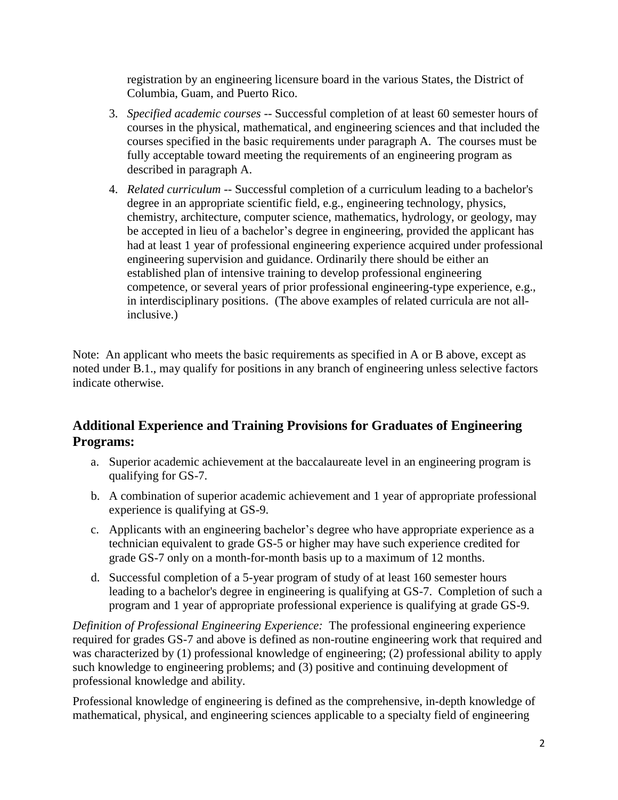registration by an engineering licensure board in the various States, the District of Columbia, Guam, and Puerto Rico.

- 3. *Specified academic courses --* Successful completion of at least 60 semester hours of courses in the physical, mathematical, and engineering sciences and that included the courses specified in the basic requirements under paragraph A. The courses must be fully acceptable toward meeting the requirements of an engineering program as described in paragraph A.
- 4. *Related curriculum* -- Successful completion of a curriculum leading to a bachelor's degree in an appropriate scientific field, e.g., engineering technology, physics, chemistry, architecture, computer science, mathematics, hydrology, or geology, may be accepted in lieu of a bachelor's degree in engineering, provided the applicant has had at least 1 year of professional engineering experience acquired under professional engineering supervision and guidance. Ordinarily there should be either an established plan of intensive training to develop professional engineering competence, or several years of prior professional engineering-type experience, e.g., in interdisciplinary positions. (The above examples of related curricula are not allinclusive.)

Note: An applicant who meets the basic requirements as specified in A or B above, except as noted under B.1., may qualify for positions in any branch of engineering unless selective factors indicate otherwise.

## **Additional Experience and Training Provisions for Graduates of Engineering Programs:**

- a. Superior academic achievement at the baccalaureate level in an engineering program is qualifying for GS-7.
- b. A combination of superior academic achievement and 1 year of appropriate professional experience is qualifying at GS-9.
- c. Applicants with an engineering bachelor's degree who have appropriate experience as a technician equivalent to grade GS-5 or higher may have such experience credited for grade GS-7 only on a month-for-month basis up to a maximum of 12 months.
- d. Successful completion of a 5-year program of study of at least 160 semester hours leading to a bachelor's degree in engineering is qualifying at GS-7. Completion of such a program and 1 year of appropriate professional experience is qualifying at grade GS-9.

*Definition of Professional Engineering Experience:* The professional engineering experience required for grades GS-7 and above is defined as non-routine engineering work that required and was characterized by (1) professional knowledge of engineering; (2) professional ability to apply such knowledge to engineering problems; and (3) positive and continuing development of professional knowledge and ability.

Professional knowledge of engineering is defined as the comprehensive, in-depth knowledge of mathematical, physical, and engineering sciences applicable to a specialty field of engineering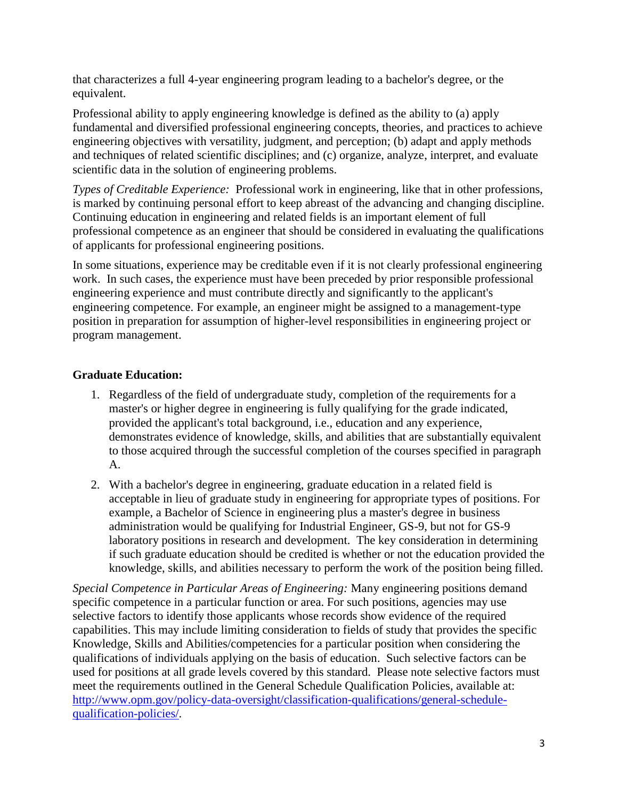that characterizes a full 4-year engineering program leading to a bachelor's degree, or the equivalent.

Professional ability to apply engineering knowledge is defined as the ability to (a) apply fundamental and diversified professional engineering concepts, theories, and practices to achieve engineering objectives with versatility, judgment, and perception; (b) adapt and apply methods and techniques of related scientific disciplines; and (c) organize, analyze, interpret, and evaluate scientific data in the solution of engineering problems.

*Types of Creditable Experience:* Professional work in engineering, like that in other professions, is marked by continuing personal effort to keep abreast of the advancing and changing discipline. Continuing education in engineering and related fields is an important element of full professional competence as an engineer that should be considered in evaluating the qualifications of applicants for professional engineering positions.

In some situations, experience may be creditable even if it is not clearly professional engineering work. In such cases, the experience must have been preceded by prior responsible professional engineering experience and must contribute directly and significantly to the applicant's engineering competence. For example, an engineer might be assigned to a management-type position in preparation for assumption of higher-level responsibilities in engineering project or program management.

### **Graduate Education:**

- 1. Regardless of the field of undergraduate study, completion of the requirements for a master's or higher degree in engineering is fully qualifying for the grade indicated, provided the applicant's total background, i.e., education and any experience, demonstrates evidence of knowledge, skills, and abilities that are substantially equivalent to those acquired through the successful completion of the courses specified in paragraph A.
- 2. With a bachelor's degree in engineering, graduate education in a related field is acceptable in lieu of graduate study in engineering for appropriate types of positions. For example, a Bachelor of Science in engineering plus a master's degree in business administration would be qualifying for Industrial Engineer, GS-9, but not for GS-9 laboratory positions in research and development. The key consideration in determining if such graduate education should be credited is whether or not the education provided the knowledge, skills, and abilities necessary to perform the work of the position being filled.

*Special Competence in Particular Areas of Engineering:* Many engineering positions demand specific competence in a particular function or area. For such positions, agencies may use selective factors to identify those applicants whose records show evidence of the required capabilities. This may include limiting consideration to fields of study that provides the specific Knowledge, Skills and Abilities/competencies for a particular position when considering the qualifications of individuals applying on the basis of education. Such selective factors can be used for positions at all grade levels covered by this standard. Please note selective factors must meet the requirements outlined in the General Schedule Qualification Policies, available at: [http://www.opm.gov/policy-data-oversight/classification-qualifications/general-schedule](http://www.opm.gov/policy-data-oversight/classification-qualifications/general-schedule-qualification-policies/)[qualification-policies/.](http://www.opm.gov/policy-data-oversight/classification-qualifications/general-schedule-qualification-policies/)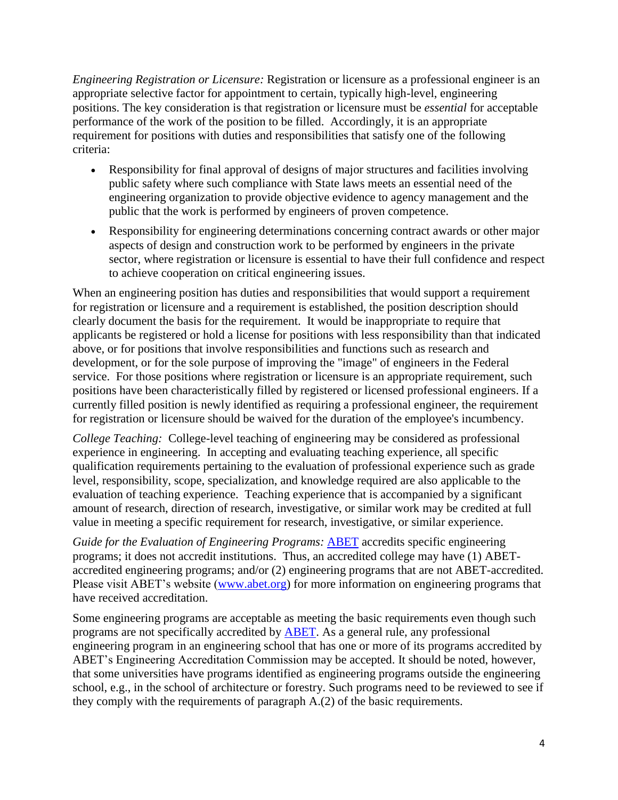*Engineering Registration or Licensure:* Registration or licensure as a professional engineer is an appropriate selective factor for appointment to certain, typically high-level, engineering positions. The key consideration is that registration or licensure must be *essential* for acceptable performance of the work of the position to be filled. Accordingly, it is an appropriate requirement for positions with duties and responsibilities that satisfy one of the following criteria:

- Responsibility for final approval of designs of major structures and facilities involving public safety where such compliance with State laws meets an essential need of the engineering organization to provide objective evidence to agency management and the public that the work is performed by engineers of proven competence.
- Responsibility for engineering determinations concerning contract awards or other major aspects of design and construction work to be performed by engineers in the private sector, where registration or licensure is essential to have their full confidence and respect to achieve cooperation on critical engineering issues.

When an engineering position has duties and responsibilities that would support a requirement for registration or licensure and a requirement is established, the position description should clearly document the basis for the requirement. It would be inappropriate to require that applicants be registered or hold a license for positions with less responsibility than that indicated above, or for positions that involve responsibilities and functions such as research and development, or for the sole purpose of improving the "image" of engineers in the Federal service. For those positions where registration or licensure is an appropriate requirement, such positions have been characteristically filled by registered or licensed professional engineers. If a currently filled position is newly identified as requiring a professional engineer, the requirement for registration or licensure should be waived for the duration of the employee's incumbency.

*College Teaching:* College-level teaching of engineering may be considered as professional experience in engineering. In accepting and evaluating teaching experience, all specific qualification requirements pertaining to the evaluation of professional experience such as grade level, responsibility, scope, specialization, and knowledge required are also applicable to the evaluation of teaching experience. Teaching experience that is accompanied by a significant amount of research, direction of research, investigative, or similar work may be credited at full value in meeting a specific requirement for research, investigative, or similar experience.

*Guide for the Evaluation of Engineering Programs:* [ABET](http://www.abet.org/) accredits specific engineering programs; it does not accredit institutions. Thus, an accredited college may have (1) ABETaccredited engineering programs; and/or (2) engineering programs that are not ABET-accredited. Please visit ABET's website [\(www.abet.org\)](http://www.abet.org/) for more information on engineering programs that have received accreditation.

Some engineering programs are acceptable as meeting the basic requirements even though such programs are not specifically accredited by [ABET.](http://www.abet.org/) As a general rule, any professional engineering program in an engineering school that has one or more of its programs accredited by ABET's Engineering Accreditation Commission may be accepted. It should be noted, however, that some universities have programs identified as engineering programs outside the engineering school, e.g., in the school of architecture or forestry. Such programs need to be reviewed to see if they comply with the requirements of paragraph A.(2) of the basic requirements.